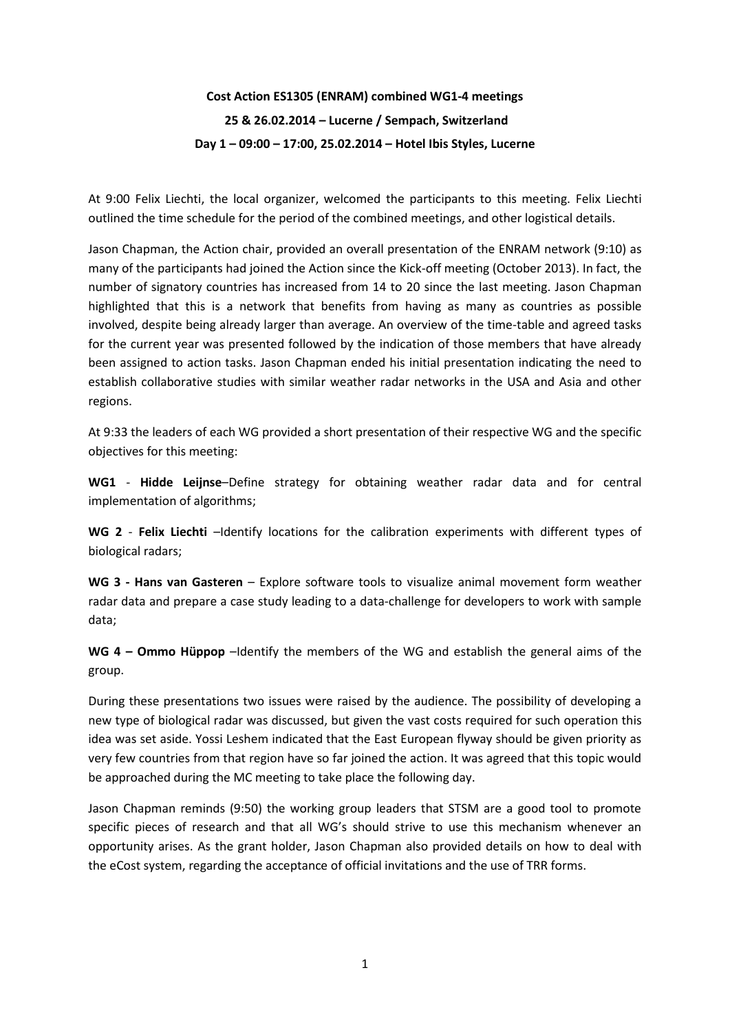# **Cost Action ES1305 (ENRAM) combined WG1-4 meetings 25 & 26.02.2014 – Lucerne / Sempach, Switzerland Day 1 – 09:00 – 17:00, 25.02.2014 – Hotel Ibis Styles, Lucerne**

At 9:00 Felix Liechti, the local organizer, welcomed the participants to this meeting. Felix Liechti outlined the time schedule for the period of the combined meetings, and other logistical details.

Jason Chapman, the Action chair, provided an overall presentation of the ENRAM network (9:10) as many of the participants had joined the Action since the Kick-off meeting (October 2013). In fact, the number of signatory countries has increased from 14 to 20 since the last meeting. Jason Chapman highlighted that this is a network that benefits from having as many as countries as possible involved, despite being already larger than average. An overview of the time-table and agreed tasks for the current year was presented followed by the indication of those members that have already been assigned to action tasks. Jason Chapman ended his initial presentation indicating the need to establish collaborative studies with similar weather radar networks in the USA and Asia and other regions.

At 9:33 the leaders of each WG provided a short presentation of their respective WG and the specific objectives for this meeting:

**WG1** - **Hidde Leijnse**–Define strategy for obtaining weather radar data and for central implementation of algorithms;

**WG 2** - **Felix Liechti** –Identify locations for the calibration experiments with different types of biological radars;

**WG 3 - Hans van Gasteren** – Explore software tools to visualize animal movement form weather radar data and prepare a case study leading to a data-challenge for developers to work with sample data;

**WG 4 – Ommo Hüppop** –Identify the members of the WG and establish the general aims of the group.

During these presentations two issues were raised by the audience. The possibility of developing a new type of biological radar was discussed, but given the vast costs required for such operation this idea was set aside. Yossi Leshem indicated that the East European flyway should be given priority as very few countries from that region have so far joined the action. It was agreed that this topic would be approached during the MC meeting to take place the following day.

Jason Chapman reminds (9:50) the working group leaders that STSM are a good tool to promote specific pieces of research and that all WG's should strive to use this mechanism whenever an opportunity arises. As the grant holder, Jason Chapman also provided details on how to deal with the eCost system, regarding the acceptance of official invitations and the use of TRR forms.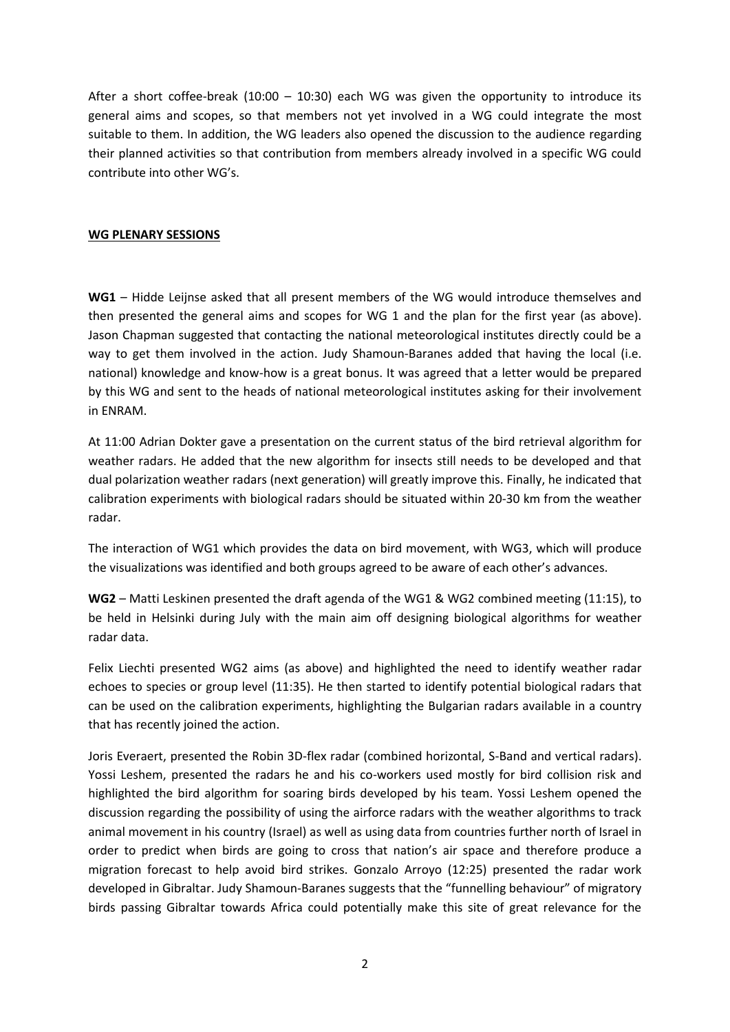After a short coffee-break  $(10:00 - 10:30)$  each WG was given the opportunity to introduce its general aims and scopes, so that members not yet involved in a WG could integrate the most suitable to them. In addition, the WG leaders also opened the discussion to the audience regarding their planned activities so that contribution from members already involved in a specific WG could contribute into other WG's.

#### **WG PLENARY SESSIONS**

**WG1** – Hidde Leijnse asked that all present members of the WG would introduce themselves and then presented the general aims and scopes for WG 1 and the plan for the first year (as above). Jason Chapman suggested that contacting the national meteorological institutes directly could be a way to get them involved in the action. Judy Shamoun-Baranes added that having the local (i.e. national) knowledge and know-how is a great bonus. It was agreed that a letter would be prepared by this WG and sent to the heads of national meteorological institutes asking for their involvement in ENRAM.

At 11:00 Adrian Dokter gave a presentation on the current status of the bird retrieval algorithm for weather radars. He added that the new algorithm for insects still needs to be developed and that dual polarization weather radars (next generation) will greatly improve this. Finally, he indicated that calibration experiments with biological radars should be situated within 20-30 km from the weather radar.

The interaction of WG1 which provides the data on bird movement, with WG3, which will produce the visualizations was identified and both groups agreed to be aware of each other's advances.

**WG2** – Matti Leskinen presented the draft agenda of the WG1 & WG2 combined meeting (11:15), to be held in Helsinki during July with the main aim off designing biological algorithms for weather radar data.

Felix Liechti presented WG2 aims (as above) and highlighted the need to identify weather radar echoes to species or group level (11:35). He then started to identify potential biological radars that can be used on the calibration experiments, highlighting the Bulgarian radars available in a country that has recently joined the action.

Joris Everaert, presented the Robin 3D-flex radar (combined horizontal, S-Band and vertical radars). Yossi Leshem, presented the radars he and his co-workers used mostly for bird collision risk and highlighted the bird algorithm for soaring birds developed by his team. Yossi Leshem opened the discussion regarding the possibility of using the airforce radars with the weather algorithms to track animal movement in his country (Israel) as well as using data from countries further north of Israel in order to predict when birds are going to cross that nation's air space and therefore produce a migration forecast to help avoid bird strikes. Gonzalo Arroyo (12:25) presented the radar work developed in Gibraltar. Judy Shamoun-Baranes suggests that the "funnelling behaviour" of migratory birds passing Gibraltar towards Africa could potentially make this site of great relevance for the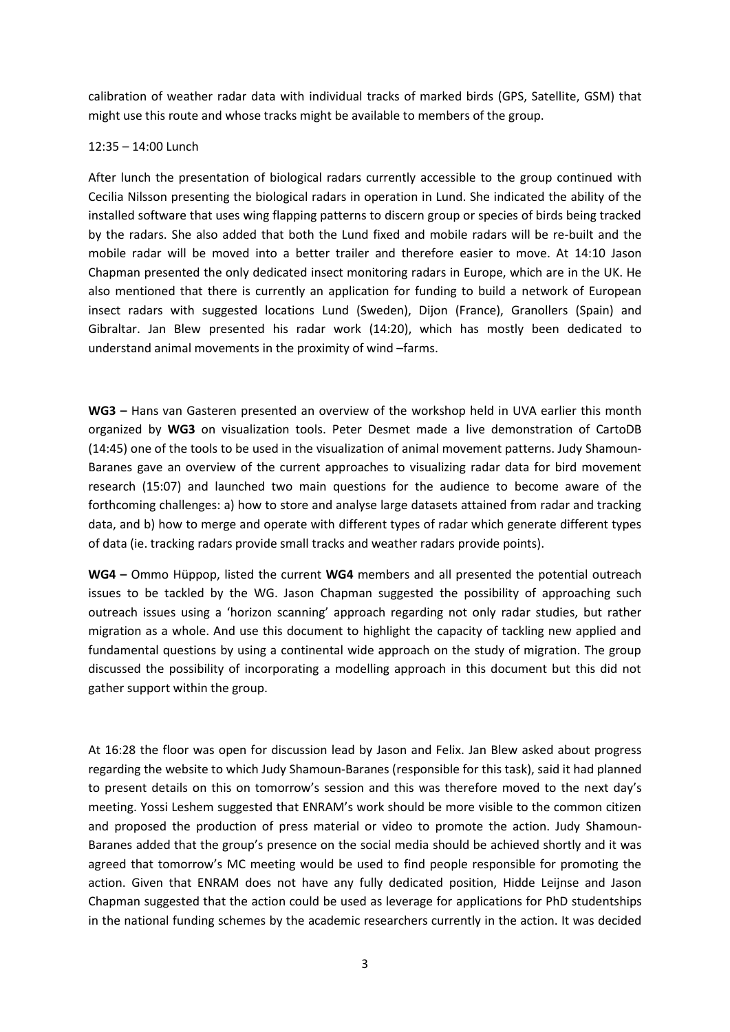calibration of weather radar data with individual tracks of marked birds (GPS, Satellite, GSM) that might use this route and whose tracks might be available to members of the group.

#### 12:35 – 14:00 Lunch

After lunch the presentation of biological radars currently accessible to the group continued with Cecilia Nilsson presenting the biological radars in operation in Lund. She indicated the ability of the installed software that uses wing flapping patterns to discern group or species of birds being tracked by the radars. She also added that both the Lund fixed and mobile radars will be re-built and the mobile radar will be moved into a better trailer and therefore easier to move. At 14:10 Jason Chapman presented the only dedicated insect monitoring radars in Europe, which are in the UK. He also mentioned that there is currently an application for funding to build a network of European insect radars with suggested locations Lund (Sweden), Dijon (France), Granollers (Spain) and Gibraltar. Jan Blew presented his radar work (14:20), which has mostly been dedicated to understand animal movements in the proximity of wind –farms.

**WG3 –** Hans van Gasteren presented an overview of the workshop held in UVA earlier this month organized by **WG3** on visualization tools. Peter Desmet made a live demonstration of CartoDB (14:45) one of the tools to be used in the visualization of animal movement patterns. Judy Shamoun-Baranes gave an overview of the current approaches to visualizing radar data for bird movement research (15:07) and launched two main questions for the audience to become aware of the forthcoming challenges: a) how to store and analyse large datasets attained from radar and tracking data, and b) how to merge and operate with different types of radar which generate different types of data (ie. tracking radars provide small tracks and weather radars provide points).

**WG4 –** Ommo Hüppop, listed the current **WG4** members and all presented the potential outreach issues to be tackled by the WG. Jason Chapman suggested the possibility of approaching such outreach issues using a 'horizon scanning' approach regarding not only radar studies, but rather migration as a whole. And use this document to highlight the capacity of tackling new applied and fundamental questions by using a continental wide approach on the study of migration. The group discussed the possibility of incorporating a modelling approach in this document but this did not gather support within the group.

At 16:28 the floor was open for discussion lead by Jason and Felix. Jan Blew asked about progress regarding the website to which Judy Shamoun-Baranes (responsible for this task), said it had planned to present details on this on tomorrow's session and this was therefore moved to the next day's meeting. Yossi Leshem suggested that ENRAM's work should be more visible to the common citizen and proposed the production of press material or video to promote the action. Judy Shamoun-Baranes added that the group's presence on the social media should be achieved shortly and it was agreed that tomorrow's MC meeting would be used to find people responsible for promoting the action. Given that ENRAM does not have any fully dedicated position, Hidde Leijnse and Jason Chapman suggested that the action could be used as leverage for applications for PhD studentships in the national funding schemes by the academic researchers currently in the action. It was decided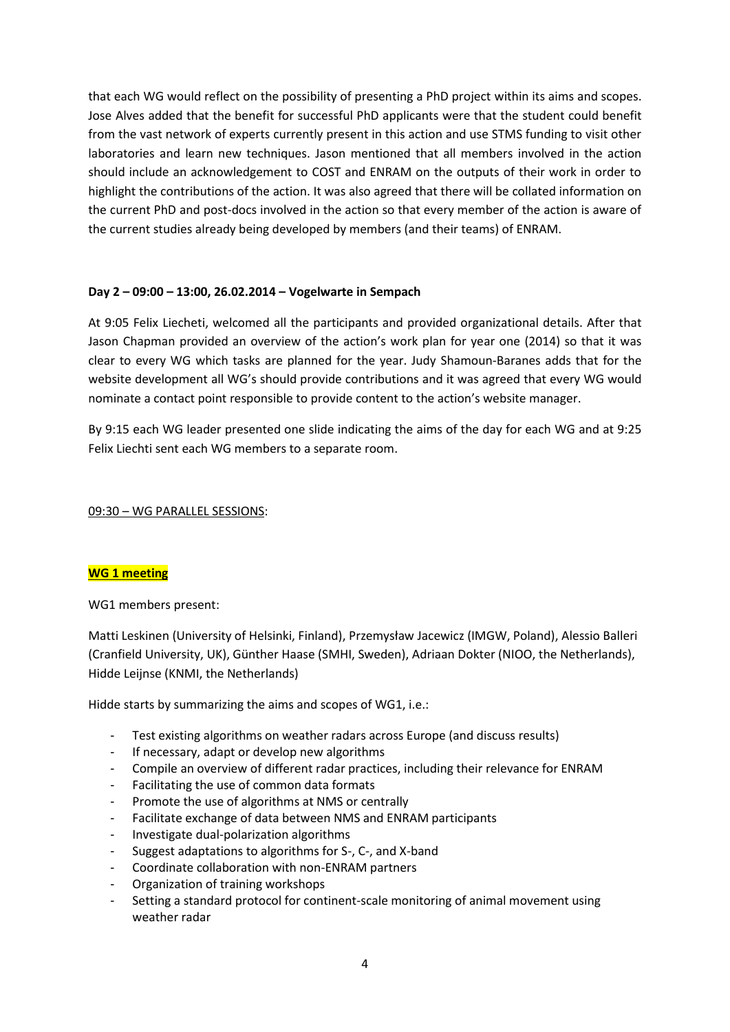that each WG would reflect on the possibility of presenting a PhD project within its aims and scopes. Jose Alves added that the benefit for successful PhD applicants were that the student could benefit from the vast network of experts currently present in this action and use STMS funding to visit other laboratories and learn new techniques. Jason mentioned that all members involved in the action should include an acknowledgement to COST and ENRAM on the outputs of their work in order to highlight the contributions of the action. It was also agreed that there will be collated information on the current PhD and post-docs involved in the action so that every member of the action is aware of the current studies already being developed by members (and their teams) of ENRAM.

#### **Day 2 – 09:00 – 13:00, 26.02.2014 – Vogelwarte in Sempach**

At 9:05 Felix Liecheti, welcomed all the participants and provided organizational details. After that Jason Chapman provided an overview of the action's work plan for year one (2014) so that it was clear to every WG which tasks are planned for the year. Judy Shamoun-Baranes adds that for the website development all WG's should provide contributions and it was agreed that every WG would nominate a contact point responsible to provide content to the action's website manager.

By 9:15 each WG leader presented one slide indicating the aims of the day for each WG and at 9:25 Felix Liechti sent each WG members to a separate room.

09:30 – WG PARALLEL SESSIONS:

#### **WG 1 meeting**

WG1 members present:

Matti Leskinen (University of Helsinki, Finland), Przemysław Jacewicz (IMGW, Poland), Alessio Balleri (Cranfield University, UK), Günther Haase (SMHI, Sweden), Adriaan Dokter (NIOO, the Netherlands), Hidde Leijnse (KNMI, the Netherlands)

Hidde starts by summarizing the aims and scopes of WG1, i.e.:

- Test existing algorithms on weather radars across Europe (and discuss results)
- If necessary, adapt or develop new algorithms
- Compile an overview of different radar practices, including their relevance for ENRAM
- Facilitating the use of common data formats
- Promote the use of algorithms at NMS or centrally
- Facilitate exchange of data between NMS and ENRAM participants
- Investigate dual-polarization algorithms
- Suggest adaptations to algorithms for S-, C-, and X-band
- Coordinate collaboration with non-ENRAM partners
- Organization of training workshops
- Setting a standard protocol for continent-scale monitoring of animal movement using weather radar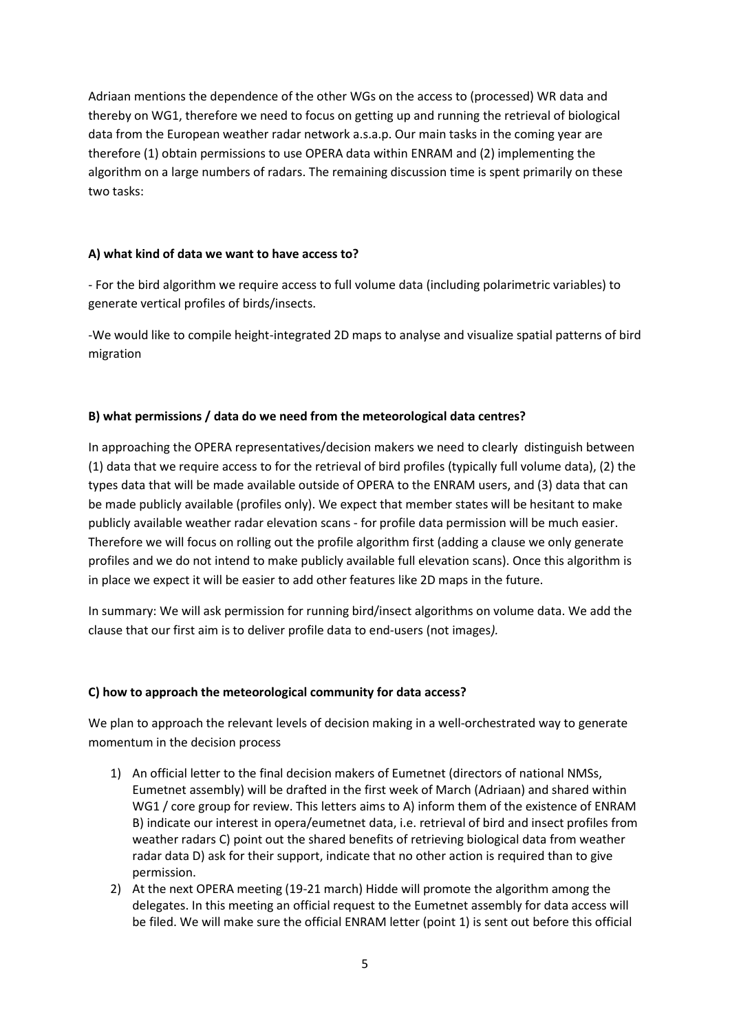Adriaan mentions the dependence of the other WGs on the access to (processed) WR data and thereby on WG1, therefore we need to focus on getting up and running the retrieval of biological data from the European weather radar network a.s.a.p. Our main tasks in the coming year are therefore (1) obtain permissions to use OPERA data within ENRAM and (2) implementing the algorithm on a large numbers of radars. The remaining discussion time is spent primarily on these two tasks:

#### **A) what kind of data we want to have access to?**

- For the bird algorithm we require access to full volume data (including polarimetric variables) to generate vertical profiles of birds/insects.

-We would like to compile height-integrated 2D maps to analyse and visualize spatial patterns of bird migration

# **B) what permissions / data do we need from the meteorological data centres?**

In approaching the OPERA representatives/decision makers we need to clearly distinguish between (1) data that we require access to for the retrieval of bird profiles (typically full volume data), (2) the types data that will be made available outside of OPERA to the ENRAM users, and (3) data that can be made publicly available (profiles only). We expect that member states will be hesitant to make publicly available weather radar elevation scans - for profile data permission will be much easier. Therefore we will focus on rolling out the profile algorithm first (adding a clause we only generate profiles and we do not intend to make publicly available full elevation scans). Once this algorithm is in place we expect it will be easier to add other features like 2D maps in the future.

In summary: We will ask permission for running bird/insect algorithms on volume data. We add the clause that our first aim is to deliver profile data to end-users (not images*).*

#### **C) how to approach the meteorological community for data access?**

We plan to approach the relevant levels of decision making in a well-orchestrated way to generate momentum in the decision process

- 1) An official letter to the final decision makers of Eumetnet (directors of national NMSs, Eumetnet assembly) will be drafted in the first week of March (Adriaan) and shared within WG1 / core group for review. This letters aims to A) inform them of the existence of ENRAM B) indicate our interest in opera/eumetnet data, i.e. retrieval of bird and insect profiles from weather radars C) point out the shared benefits of retrieving biological data from weather radar data D) ask for their support, indicate that no other action is required than to give permission.
- 2) At the next OPERA meeting (19-21 march) Hidde will promote the algorithm among the delegates. In this meeting an official request to the Eumetnet assembly for data access will be filed. We will make sure the official ENRAM letter (point 1) is sent out before this official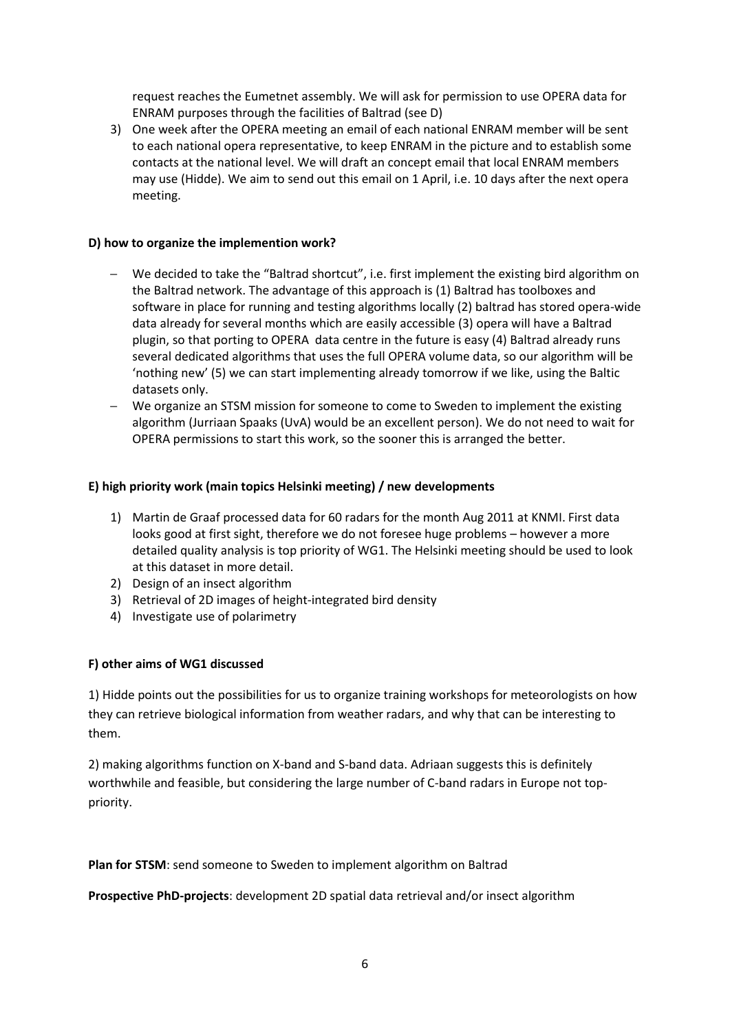request reaches the Eumetnet assembly. We will ask for permission to use OPERA data for ENRAM purposes through the facilities of Baltrad (see D)

3) One week after the OPERA meeting an email of each national ENRAM member will be sent to each national opera representative, to keep ENRAM in the picture and to establish some contacts at the national level. We will draft an concept email that local ENRAM members may use (Hidde). We aim to send out this email on 1 April, i.e. 10 days after the next opera meeting.

#### **D) how to organize the implemention work?**

- We decided to take the "Baltrad shortcut", i.e. first implement the existing bird algorithm on the Baltrad network. The advantage of this approach is (1) Baltrad has toolboxes and software in place for running and testing algorithms locally (2) baltrad has stored opera-wide data already for several months which are easily accessible (3) opera will have a Baltrad plugin, so that porting to OPERA data centre in the future is easy (4) Baltrad already runs several dedicated algorithms that uses the full OPERA volume data, so our algorithm will be 'nothing new' (5) we can start implementing already tomorrow if we like, using the Baltic datasets only.
- We organize an STSM mission for someone to come to Sweden to implement the existing algorithm (Jurriaan Spaaks (UvA) would be an excellent person). We do not need to wait for OPERA permissions to start this work, so the sooner this is arranged the better.

#### **E) high priority work (main topics Helsinki meeting) / new developments**

- 1) Martin de Graaf processed data for 60 radars for the month Aug 2011 at KNMI. First data looks good at first sight, therefore we do not foresee huge problems – however a more detailed quality analysis is top priority of WG1. The Helsinki meeting should be used to look at this dataset in more detail.
- 2) Design of an insect algorithm
- 3) Retrieval of 2D images of height-integrated bird density
- 4) Investigate use of polarimetry

#### **F) other aims of WG1 discussed**

1) Hidde points out the possibilities for us to organize training workshops for meteorologists on how they can retrieve biological information from weather radars, and why that can be interesting to them.

2) making algorithms function on X-band and S-band data. Adriaan suggests this is definitely worthwhile and feasible, but considering the large number of C-band radars in Europe not toppriority.

**Plan for STSM**: send someone to Sweden to implement algorithm on Baltrad

**Prospective PhD-projects**: development 2D spatial data retrieval and/or insect algorithm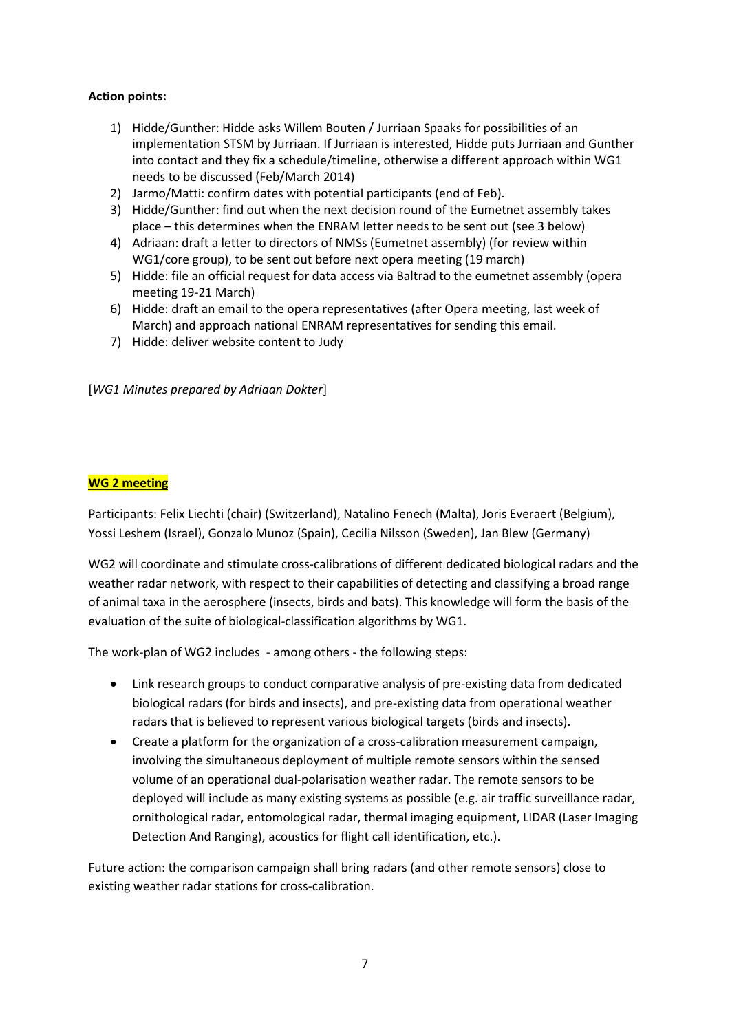## **Action points:**

- 1) Hidde/Gunther: Hidde asks Willem Bouten / Jurriaan Spaaks for possibilities of an implementation STSM by Jurriaan. If Jurriaan is interested, Hidde puts Jurriaan and Gunther into contact and they fix a schedule/timeline, otherwise a different approach within WG1 needs to be discussed (Feb/March 2014)
- 2) Jarmo/Matti: confirm dates with potential participants (end of Feb).
- 3) Hidde/Gunther: find out when the next decision round of the Eumetnet assembly takes place – this determines when the ENRAM letter needs to be sent out (see 3 below)
- 4) Adriaan: draft a letter to directors of NMSs (Eumetnet assembly) (for review within WG1/core group), to be sent out before next opera meeting (19 march)
- 5) Hidde: file an official request for data access via Baltrad to the eumetnet assembly (opera meeting 19-21 March)
- 6) Hidde: draft an email to the opera representatives (after Opera meeting, last week of March) and approach national ENRAM representatives for sending this email.
- 7) Hidde: deliver website content to Judy

[*WG1 Minutes prepared by Adriaan Dokter*]

#### **WG 2 meeting**

Participants: Felix Liechti (chair) (Switzerland), Natalino Fenech (Malta), Joris Everaert (Belgium), Yossi Leshem (Israel), Gonzalo Munoz (Spain), Cecilia Nilsson (Sweden), Jan Blew (Germany)

WG2 will coordinate and stimulate cross-calibrations of different dedicated biological radars and the weather radar network, with respect to their capabilities of detecting and classifying a broad range of animal taxa in the aerosphere (insects, birds and bats). This knowledge will form the basis of the evaluation of the suite of biological-classification algorithms by WG1.

The work-plan of WG2 includes - among others - the following steps:

- Link research groups to conduct comparative analysis of pre-existing data from dedicated biological radars (for birds and insects), and pre-existing data from operational weather radars that is believed to represent various biological targets (birds and insects).
- Create a platform for the organization of a cross-calibration measurement campaign, involving the simultaneous deployment of multiple remote sensors within the sensed volume of an operational dual-polarisation weather radar. The remote sensors to be deployed will include as many existing systems as possible (e.g. air traffic surveillance radar, ornithological radar, entomological radar, thermal imaging equipment, LIDAR (Laser Imaging Detection And Ranging), acoustics for flight call identification, etc.).

Future action: the comparison campaign shall bring radars (and other remote sensors) close to existing weather radar stations for cross-calibration.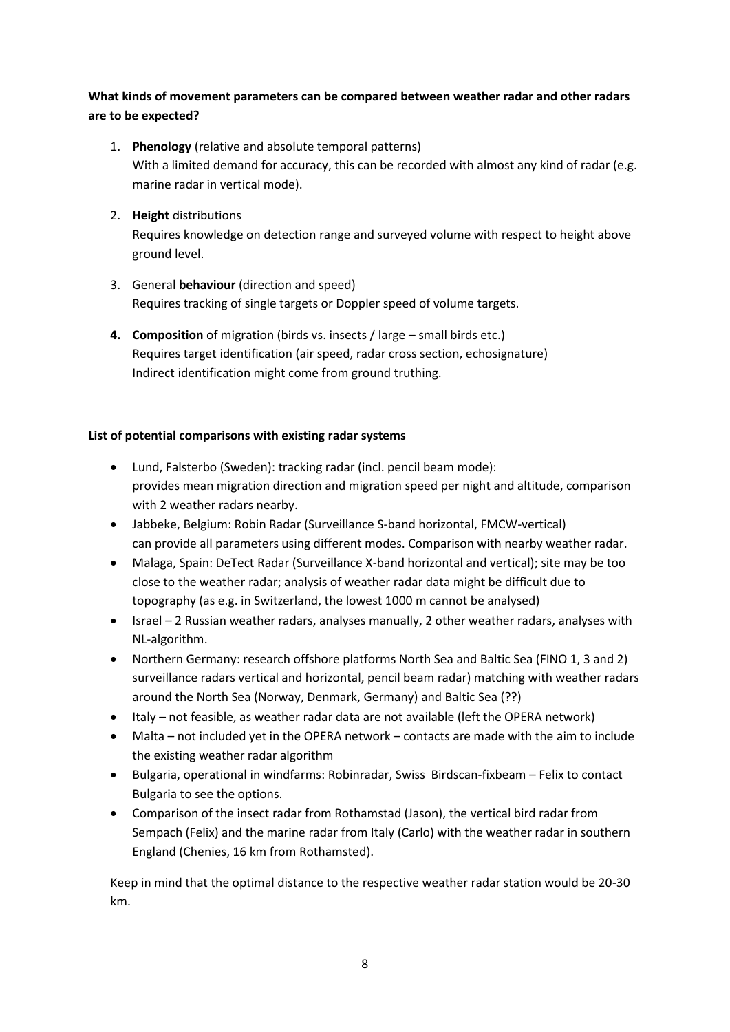# **What kinds of movement parameters can be compared between weather radar and other radars are to be expected?**

- 1. **Phenology** (relative and absolute temporal patterns) With a limited demand for accuracy, this can be recorded with almost any kind of radar (e.g. marine radar in vertical mode).
- 2. **Height** distributions Requires knowledge on detection range and surveyed volume with respect to height above ground level.
- 3. General **behaviour** (direction and speed) Requires tracking of single targets or Doppler speed of volume targets.
- **4. Composition** of migration (birds vs. insects / large small birds etc.) Requires target identification (air speed, radar cross section, echosignature) Indirect identification might come from ground truthing.

# **List of potential comparisons with existing radar systems**

- Lund, Falsterbo (Sweden): tracking radar (incl. pencil beam mode): provides mean migration direction and migration speed per night and altitude, comparison with 2 weather radars nearby.
- Jabbeke, Belgium: Robin Radar (Surveillance S-band horizontal, FMCW-vertical) can provide all parameters using different modes. Comparison with nearby weather radar.
- Malaga, Spain: DeTect Radar (Surveillance X-band horizontal and vertical); site may be too close to the weather radar; analysis of weather radar data might be difficult due to topography (as e.g. in Switzerland, the lowest 1000 m cannot be analysed)
- Israel 2 Russian weather radars, analyses manually, 2 other weather radars, analyses with NL-algorithm.
- Northern Germany: research offshore platforms North Sea and Baltic Sea (FINO 1, 3 and 2) surveillance radars vertical and horizontal, pencil beam radar) matching with weather radars around the North Sea (Norway, Denmark, Germany) and Baltic Sea (??)
- Italy not feasible, as weather radar data are not available (left the OPERA network)
- Malta not included yet in the OPERA network contacts are made with the aim to include the existing weather radar algorithm
- Bulgaria, operational in windfarms: Robinradar, Swiss Birdscan-fixbeam Felix to contact Bulgaria to see the options.
- Comparison of the insect radar from Rothamstad (Jason), the vertical bird radar from Sempach (Felix) and the marine radar from Italy (Carlo) with the weather radar in southern England (Chenies, 16 km from Rothamsted).

Keep in mind that the optimal distance to the respective weather radar station would be 20-30 km.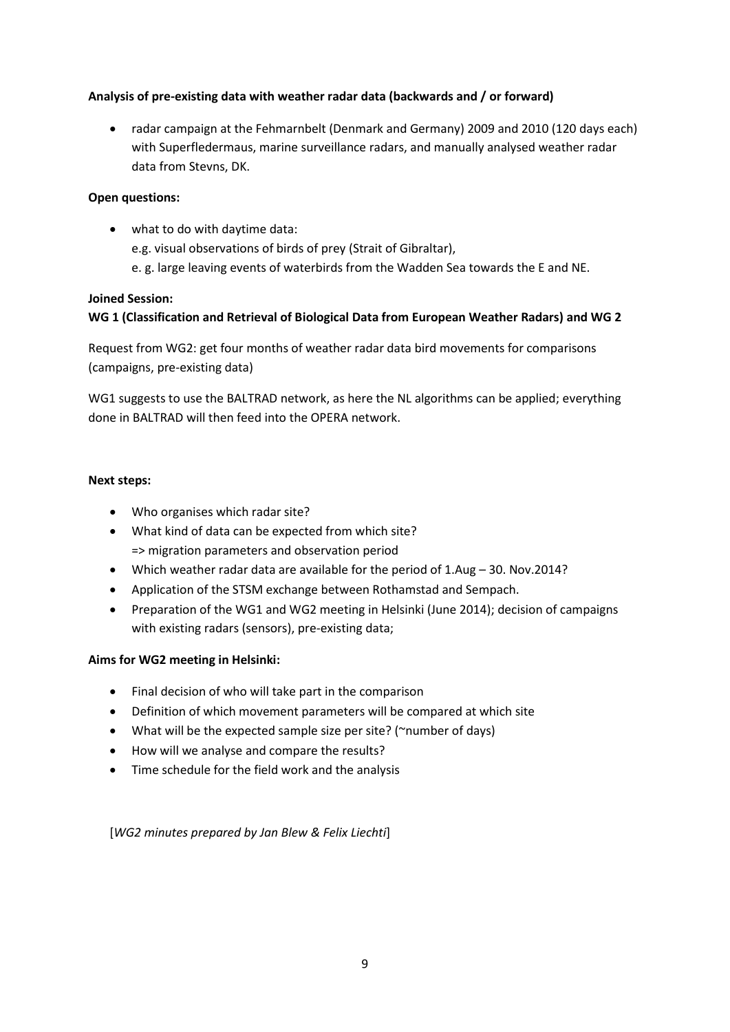# **Analysis of pre-existing data with weather radar data (backwards and / or forward)**

 radar campaign at the Fehmarnbelt (Denmark and Germany) 2009 and 2010 (120 days each) with Superfledermaus, marine surveillance radars, and manually analysed weather radar data from Stevns, DK.

## **Open questions:**

 what to do with daytime data: e.g. visual observations of birds of prey (Strait of Gibraltar), e. g. large leaving events of waterbirds from the Wadden Sea towards the E and NE.

#### **Joined Session:**

# **WG 1 (Classification and Retrieval of Biological Data from European Weather Radars) and WG 2**

Request from WG2: get four months of weather radar data bird movements for comparisons (campaigns, pre-existing data)

WG1 suggests to use the BALTRAD network, as here the NL algorithms can be applied; everything done in BALTRAD will then feed into the OPERA network.

#### **Next steps:**

- Who organises which radar site?
- What kind of data can be expected from which site? => migration parameters and observation period
- Which weather radar data are available for the period of 1.Aug 30. Nov.2014?
- Application of the STSM exchange between Rothamstad and Sempach.
- Preparation of the WG1 and WG2 meeting in Helsinki (June 2014); decision of campaigns with existing radars (sensors), pre-existing data;

# **Aims for WG2 meeting in Helsinki:**

- Final decision of who will take part in the comparison
- Definition of which movement parameters will be compared at which site
- What will be the expected sample size per site? (~number of days)
- How will we analyse and compare the results?
- Time schedule for the field work and the analysis

[*WG2 minutes prepared by Jan Blew & Felix Liechti*]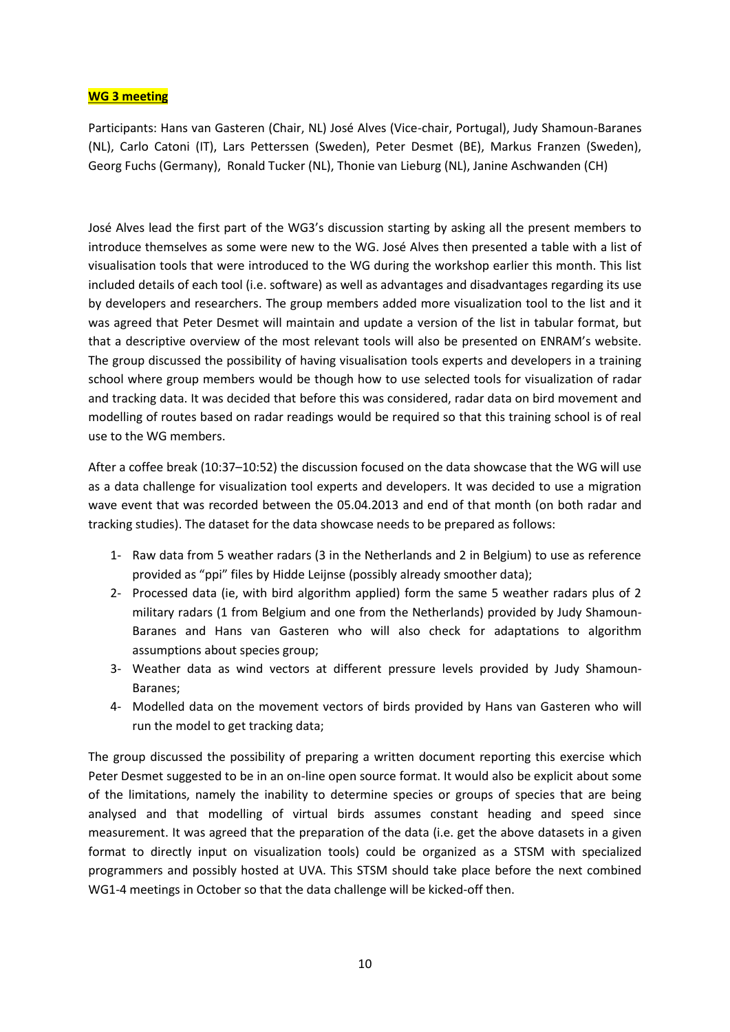#### **WG 3 meeting**

Participants: Hans van Gasteren (Chair, NL) José Alves (Vice-chair, Portugal), Judy Shamoun-Baranes (NL), Carlo Catoni (IT), Lars Petterssen (Sweden), Peter Desmet (BE), Markus Franzen (Sweden), Georg Fuchs (Germany), Ronald Tucker (NL), Thonie van Lieburg (NL), Janine Aschwanden (CH)

José Alves lead the first part of the WG3's discussion starting by asking all the present members to introduce themselves as some were new to the WG. José Alves then presented a table with a list of visualisation tools that were introduced to the WG during the workshop earlier this month. This list included details of each tool (i.e. software) as well as advantages and disadvantages regarding its use by developers and researchers. The group members added more visualization tool to the list and it was agreed that Peter Desmet will maintain and update a version of the list in tabular format, but that a descriptive overview of the most relevant tools will also be presented on ENRAM's website. The group discussed the possibility of having visualisation tools experts and developers in a training school where group members would be though how to use selected tools for visualization of radar and tracking data. It was decided that before this was considered, radar data on bird movement and modelling of routes based on radar readings would be required so that this training school is of real use to the WG members.

After a coffee break (10:37–10:52) the discussion focused on the data showcase that the WG will use as a data challenge for visualization tool experts and developers. It was decided to use a migration wave event that was recorded between the 05.04.2013 and end of that month (on both radar and tracking studies). The dataset for the data showcase needs to be prepared as follows:

- 1- Raw data from 5 weather radars (3 in the Netherlands and 2 in Belgium) to use as reference provided as "ppi" files by Hidde Leijnse (possibly already smoother data);
- 2- Processed data (ie, with bird algorithm applied) form the same 5 weather radars plus of 2 military radars (1 from Belgium and one from the Netherlands) provided by Judy Shamoun-Baranes and Hans van Gasteren who will also check for adaptations to algorithm assumptions about species group;
- 3- Weather data as wind vectors at different pressure levels provided by Judy Shamoun-Baranes;
- 4- Modelled data on the movement vectors of birds provided by Hans van Gasteren who will run the model to get tracking data;

The group discussed the possibility of preparing a written document reporting this exercise which Peter Desmet suggested to be in an on-line open source format. It would also be explicit about some of the limitations, namely the inability to determine species or groups of species that are being analysed and that modelling of virtual birds assumes constant heading and speed since measurement. It was agreed that the preparation of the data (i.e. get the above datasets in a given format to directly input on visualization tools) could be organized as a STSM with specialized programmers and possibly hosted at UVA. This STSM should take place before the next combined WG1-4 meetings in October so that the data challenge will be kicked-off then.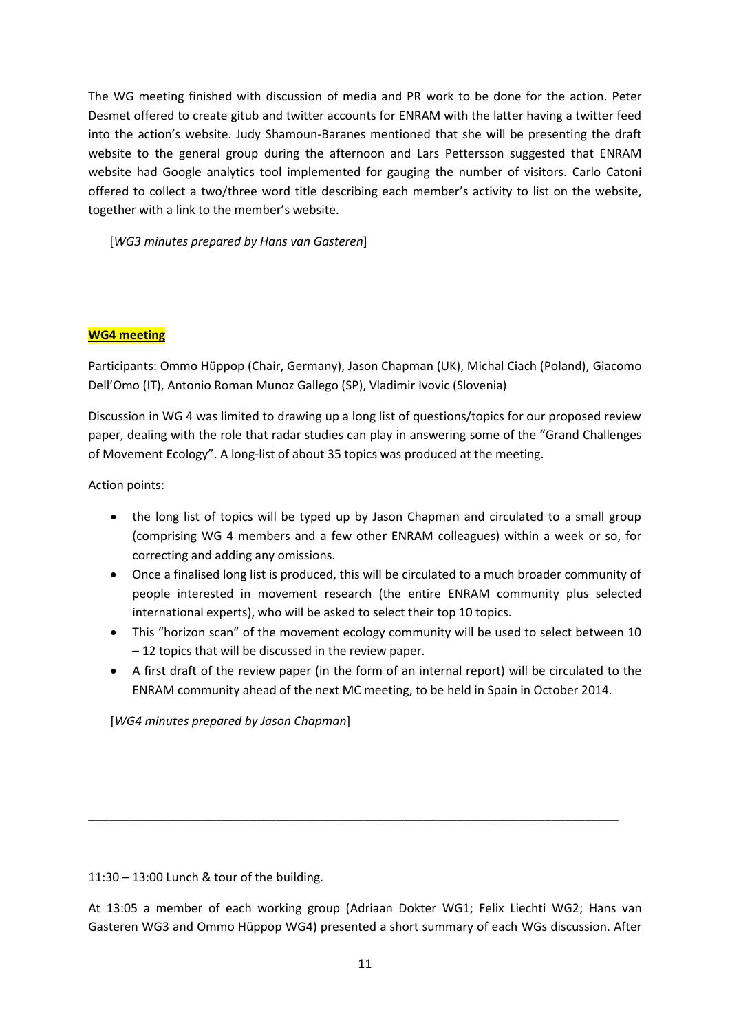The WG meeting finished with discussion of media and PR work to be done for the action. Peter Desmet offered to create gitub and twitter accounts for ENRAM with the latter having a twitter feed into the action's website. Judy Shamoun-Baranes mentioned that she will be presenting the draft website to the general group during the afternoon and Lars Pettersson suggested that ENRAM website had Google analytics tool implemented for gauging the number of visitors. Carlo Catoni offered to collect a two/three word title describing each member's activity to list on the website, together with a link to the member's website.

[*WG3 minutes prepared by Hans van Gasteren*]

# **WG4 meeting**

Participants: Ommo Hüppop (Chair, Germany), Jason Chapman (UK), Michal Ciach (Poland), Giacomo Dell'Omo (IT), Antonio Roman Munoz Gallego (SP), Vladimir Ivovic (Slovenia)

Discussion in WG 4 was limited to drawing up a long list of questions/topics for our proposed review paper, dealing with the role that radar studies can play in answering some of the "Grand Challenges of Movement Ecology". A long-list of about 35 topics was produced at the meeting.

Action points:

- the long list of topics will be typed up by Jason Chapman and circulated to a small group (comprising WG 4 members and a few other ENRAM colleagues) within a week or so, for correcting and adding any omissions.
- Once a finalised long list is produced, this will be circulated to a much broader community of people interested in movement research (the entire ENRAM community plus selected international experts), who will be asked to select their top 10 topics.
- This "horizon scan" of the movement ecology community will be used to select between 10 – 12 topics that will be discussed in the review paper.
- A first draft of the review paper (in the form of an internal report) will be circulated to the ENRAM community ahead of the next MC meeting, to be held in Spain in October 2014.

[*WG4 minutes prepared by Jason Chapman*]

11:30 – 13:00 Lunch & tour of the building.

At 13:05 a member of each working group (Adriaan Dokter WG1; Felix Liechti WG2; Hans van Gasteren WG3 and Ommo Hüppop WG4) presented a short summary of each WGs discussion. After

\_\_\_\_\_\_\_\_\_\_\_\_\_\_\_\_\_\_\_\_\_\_\_\_\_\_\_\_\_\_\_\_\_\_\_\_\_\_\_\_\_\_\_\_\_\_\_\_\_\_\_\_\_\_\_\_\_\_\_\_\_\_\_\_\_\_\_\_\_\_\_\_\_\_\_\_\_\_\_